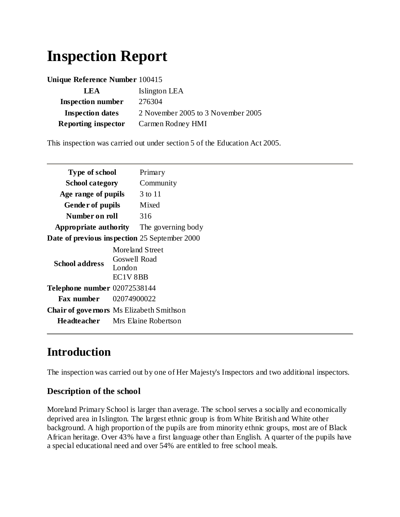# **Inspection Report**

| Unique Reference Number 100415 |                                    |
|--------------------------------|------------------------------------|
| LEA                            | Islington LEA                      |
| <b>Inspection number</b>       | 276304                             |
| <b>Inspection dates</b>        | 2 November 2005 to 3 November 2005 |
| <b>Reporting inspector</b>     | Carmen Rodney HMI                  |

This inspection was carried out under section 5 of the Education Act 2005.

| Type of school                                       |                     | Primary   |
|------------------------------------------------------|---------------------|-----------|
| <b>School category</b>                               |                     | Community |
| Age range of pupils                                  |                     | 3 to 11   |
| Gender of pupils                                     |                     | Mixed     |
| Number on roll                                       |                     | 316       |
| <b>Appropriate authority</b> The governing body      |                     |           |
| <b>Date of previous inspection</b> 25 September 2000 |                     |           |
| <b>School address</b>                                | Moreland Street     |           |
|                                                      | <b>Goswell Road</b> |           |
|                                                      | London              |           |
|                                                      | EC1V 8BB            |           |
| Telephone number 02072538144                         |                     |           |
| <b>Fax number</b>                                    | 02074900022         |           |
| <b>Chair of governors</b> Ms Elizabeth Smithson      |                     |           |

**Headteacher** Mrs Elaine Robertson

## **Introduction**

The inspection was carried out by one of Her Majesty's Inspectors and two additional inspectors.

#### **Description of the school**

Moreland Primary School is larger than average. The school serves a socially and economically deprived area in Islington. The largest ethnic group is from White British and White other background. A high proportion of the pupils are from minority ethnic groups, most are of Black African heritage. Over 43% have a first language other than English. A quarter of the pupils have a special educational need and over 54% are entitled to free school meals.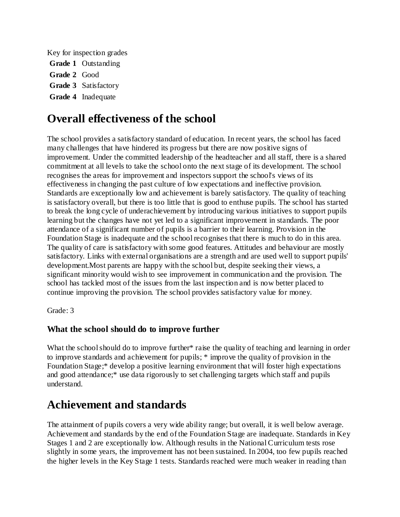Key for inspection grades **Grade 1** Outstanding **Grade 2** Good **Grade 3** Satisfactory

**Grade 4** Inadequate

## **Overall effectiveness of the school**

The school provides a satisfactory standard of education. In recent years, the school has faced many challenges that have hindered its progress but there are now positive signs of improvement. Under the committed leadership of the headteacher and all staff, there is a shared commitment at all levels to take the school onto the next stage of its development. The school recognises the areas for improvement and inspectors support the school's views of its effectiveness in changing the past culture of low expectations and ineffective provision. Standards are exceptionally low and achievement is barely satisfactory. The quality of teaching is satisfactory overall, but there is too little that is good to enthuse pupils. The school has started to break the long cycle of underachievement by introducing various initiatives to support pupils learning but the changes have not yet led to a significant improvement in standards. The poor attendance of a significant number of pupils is a barrier to their learning. Provision in the Foundation Stage is inadequate and the school recognises that there is much to do in this area. The quality of care is satisfactory with some good features. Attitudes and behaviour are mostly satisfactory. Links with external organisations are a strength and are used well to support pupils' development.Most parents are happy with the school but, despite seeking their views, a significant minority would wish to see improvement in communication and the provision. The school has tackled most of the issues from the last inspection and is now better placed to continue improving the provision. The school provides satisfactory value for money.

Grade: 3

#### **What the school should do to improve further**

What the school should do to improve further\* raise the quality of teaching and learning in order to improve standards and achievement for pupils; \* improve the quality of provision in the Foundation Stage;\* develop a positive learning environment that will foster high expectations and good attendance;\* use data rigorously to set challenging targets which staff and pupils understand.

### **Achievement and standards**

The attainment of pupils covers a very wide ability range; but overall, it is well below average. Achievement and standards by the end of the Foundation Stage are inadequate. Standards in Key Stages 1 and 2 are exceptionally low. Although results in the National Curriculum tests rose slightly in some years, the improvement has not been sustained. In 2004, too few pupils reached the higher levels in the Key Stage 1 tests. Standards reached were much weaker in reading than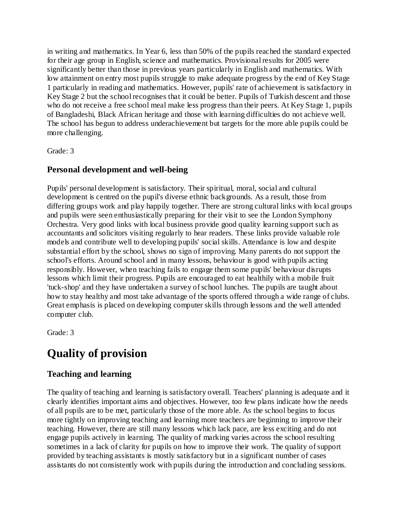in writing and mathematics. In Year 6, less than 50% of the pupils reached the standard expected for their age group in English, science and mathematics. Provisional results for 2005 were significantly better than those in previous years particularly in English and mathematics. With low attainment on entry most pupils struggle to make adequate progress by the end of Key Stage 1 particularly in reading and mathematics. However, pupils' rate of achievement is satisfactory in Key Stage 2 but the school recognises that it could be better. Pupils of Turkish descent and those who do not receive a free school meal make less progress than their peers. At Key Stage 1, pupils of Bangladeshi, Black African heritage and those with learning difficulties do not achieve well. The school has begun to address underachievement but targets for the more able pupils could be more challenging.

Grade: 3

#### **Personal development and well-being**

Pupils' personal development is satisfactory. Their spiritual, moral, social and cultural development is centred on the pupil's diverse ethnic backgrounds. As a result, those from differing groups work and play happily together. There are strong cultural links with local groups and pupils were seen enthusiastically preparing for their visit to see the London Symphony Orchestra. Very good links with local business provide good quality learning support such as accountants and solicitors visiting regularly to hear readers. These links provide valuable role models and contribute well to developing pupils' social skills. Attendance is low and despite substantial effort by the school, shows no sign of improving. Many parents do not support the school's efforts. Around school and in many lessons, behaviour is good with pupils acting responsibly. However, when teaching fails to engage them some pupils' behaviour disrupts lessons which limit their progress. Pupils are encouraged to eat healthily with a mobile fruit 'tuck-shop' and they have undertaken a survey of school lunches. The pupils are taught about how to stay healthy and most take advantage of the sports offered through a wide range of clubs. Great emphasis is placed on developing computer skills through lessons and the well attended computer club.

Grade: 3

# **Quality of provision**

#### **Teaching and learning**

The quality of teaching and learning is satisfactory overall. Teachers' planning is adequate and it clearly identifies important aims and objectives. However, too few plans indicate how the needs of all pupils are to be met, particularly those of the more able. As the school begins to focus more tightly on improving teaching and learning more teachers are beginning to improve their teaching. However, there are still many lessons which lack pace, are less exciting and do not engage pupils actively in learning. The quality of marking varies across the school resulting sometimes in a lack of clarity for pupils on how to improve their work. The quality of support provided by teaching assistants is mostly satisfactory but in a significant number of cases assistants do not consistently work with pupils during the introduction and concluding sessions.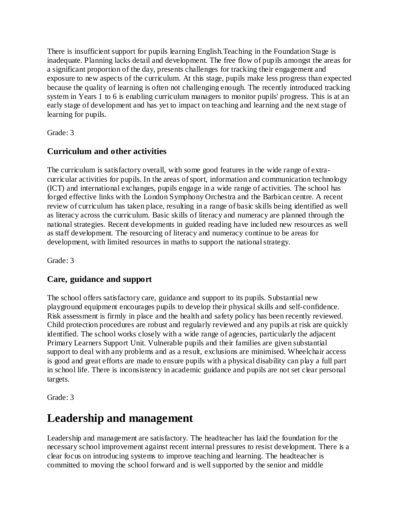There is insufficient support for pupils learning English.Teaching in the Foundation Stage is inadequate. Planning lacks detail and development. The free flow of pupils amongst the areas for a significant proportion of the day, presents challenges for tracking their engagement and exposure to new aspects of the curriculum. At this stage, pupils make less progress than expected because the quality of learning is often not challenging enough. The recently introduced tracking system in Years 1 to 6 is enabling curriculum managers to monitor pupils' progress. This is at an early stage of development and has yet to impact on teaching and learning and the next stage of learning for pupils.

Grade: 3

#### **Curriculum and other activities**

The curriculum is satisfactory overall, with some good features in the wide range of extracurricular activities for pupils. In the areas of sport, information and communication technology (ICT) and international exchanges, pupils engage in a wide range of activities. The school has forged effective links with the London Symphony Orchestra and the Barbican centre. A recent review of curriculum has taken place, resulting in a range of basic skills being identified as well as literacy across the curriculum. Basic skills of literacy and numeracy are planned through the national strategies. Recent developments in guided reading have included new resources as well as staff development. The resourcing of literacy and numeracy continue to be areas for development, with limited resources in maths to support the national strategy.

Grade: 3

#### **Care, guidance and support**

The school offers satisfactory care, guidance and support to its pupils. Substantial new playground equipment encourages pupils to develop their physical skills and self-confidence. Risk assessment is firmly in place and the health and safety policy has been recently reviewed. Child protection procedures are robust and regularly reviewed and any pupils at risk are quickly identified. The school works closely with a wide range of agencies, particularly the adjacent Primary Learners Support Unit. Vulnerable pupils and their families are given substantial support to deal with any problems and as a result, exclusions are minimised. Wheelchair access is good and great efforts are made to ensure pupils with a physical disability can play a full part in school life. There is inconsistency in academic guidance and pupils are not set clear personal targets.

Grade: 3

## **Leadership and management**

Leadership and management are satisfactory. The headteacher has laid the foundation for the necessary school improvement against recent internal pressures to resist development. There is a clear focus on introducing systems to improve teaching and learning. The headteacher is committed to moving the school forward and is well supported by the senior and middle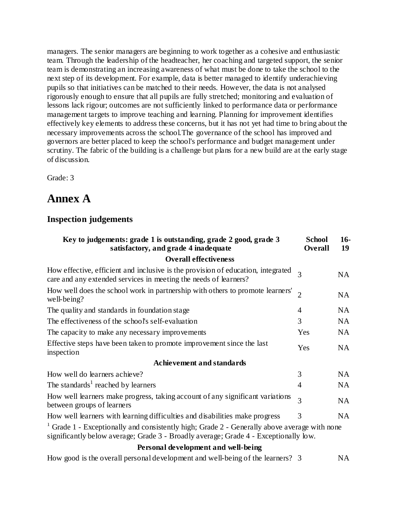managers. The senior managers are beginning to work together as a cohesive and enthusiastic team. Through the leadership of the headteacher, her coaching and targeted support, the senior team is demonstrating an increasing awareness of what must be done to take the school to the next step of its development. For example, data is better managed to identify underachieving pupils so that initiatives can be matched to their needs. However, the data is not analysed rigorously enough to ensure that all pupils are fully stretched; monitoring and evaluation of lessons lack rigour; outcomes are not sufficiently linked to performance data or performance management targets to improve teaching and learning. Planning for improvement identifies effectively key elements to address these concerns, but it has not yet had time to bring about the necessary improvements across the school.The governance of the school has improved and governors are better placed to keep the school's performance and budget management under scrutiny. The fabric of the building is a challenge but plans for a new build are at the early stage of discussion.

Grade: 3

# **Annex A**

#### **Inspection judgements**

| Key to judgements: grade 1 is outstanding, grade 2 good, grade 3<br>satisfactory, and grade 4 inadequate                                                                                        | <b>School</b><br><b>Overall</b> | $16-$<br>19 |
|-------------------------------------------------------------------------------------------------------------------------------------------------------------------------------------------------|---------------------------------|-------------|
| <b>Overall effectiveness</b>                                                                                                                                                                    |                                 |             |
| How effective, efficient and inclusive is the provision of education, integrated<br>care and any extended services in meeting the needs of learners?                                            |                                 | NA          |
| How well does the school work in partnership with others to promote learners'<br>$\overline{2}$<br>well-being?                                                                                  |                                 | NA          |
| The quality and standards in foundation stage                                                                                                                                                   |                                 | NA.         |
| The effectiveness of the school's self-evaluation                                                                                                                                               |                                 | NA          |
| The capacity to make any necessary improvements                                                                                                                                                 |                                 | NA          |
| Effective steps have been taken to promote improvement since the last<br>inspection                                                                                                             |                                 | NA          |
| <b>Achievement and standards</b>                                                                                                                                                                |                                 |             |
| How well do learners achieve?                                                                                                                                                                   | 3                               | NA          |
| The standards <sup>1</sup> reached by learners                                                                                                                                                  |                                 | NA          |
| How well learners make progress, taking account of any significant variations<br>between groups of learners                                                                                     |                                 | NA.         |
| How well learners with learning difficulties and disabilities make progress                                                                                                                     | 3                               | NA.         |
| <sup>1</sup> Grade 1 - Exceptionally and consistently high; Grade 2 - Generally above average with none<br>significantly below average; Grade 3 - Broadly average; Grade 4 - Exceptionally low. |                                 |             |
| Personal development and well-being                                                                                                                                                             |                                 |             |
|                                                                                                                                                                                                 |                                 |             |

How good is the overall personal development and well-being of the learners? 3 NA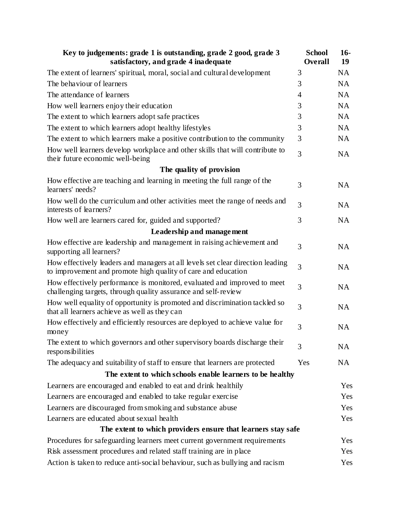| Key to judgements: grade 1 is outstanding, grade 2 good, grade 3<br>satisfactory, and grade 4 inadequate                                        |     | $16-$<br>19 |
|-------------------------------------------------------------------------------------------------------------------------------------------------|-----|-------------|
| The extent of learners' spiritual, moral, social and cultural development                                                                       | 3   | <b>NA</b>   |
| The behaviour of learners                                                                                                                       | 3   | <b>NA</b>   |
| The attendance of learners                                                                                                                      |     | <b>NA</b>   |
| How well learners enjoy their education                                                                                                         | 3   | <b>NA</b>   |
| The extent to which learners adopt safe practices                                                                                               | 3   | <b>NA</b>   |
| The extent to which learners adopt healthy lifestyles                                                                                           | 3   | <b>NA</b>   |
| The extent to which learners make a positive contribution to the community                                                                      | 3   | <b>NA</b>   |
| How well learners develop workplace and other skills that will contribute to<br>their future economic well-being                                | 3   | <b>NA</b>   |
| The quality of provision                                                                                                                        |     |             |
| How effective are teaching and learning in meeting the full range of the<br>learners' needs?                                                    | 3   | <b>NA</b>   |
| How well do the curriculum and other activities meet the range of needs and<br>interests of learners?                                           | 3   | <b>NA</b>   |
| How well are learners cared for, guided and supported?                                                                                          | 3   | <b>NA</b>   |
| Leadership and management                                                                                                                       |     |             |
| How effective are leadership and management in raising achievement and<br>supporting all learners?                                              | 3   | <b>NA</b>   |
| How effectively leaders and managers at all levels set clear direction leading<br>to improvement and promote high quality of care and education | 3   | <b>NA</b>   |
| How effectively performance is monitored, evaluated and improved to meet<br>challenging targets, through quality assurance and self-review      |     | <b>NA</b>   |
| How well equality of opportunity is promoted and discrimination tackled so<br>that all learners achieve as well as they can                     |     | <b>NA</b>   |
| How effectively and efficiently resources are deployed to achieve value for<br>money                                                            |     | <b>NA</b>   |
| The extent to which governors and other supervisory boards discharge their<br>responsibilities                                                  | 3   | NA          |
| The adequacy and suitability of staff to ensure that learners are protected                                                                     | Yes | NA          |
| The extent to which schools enable learners to be healthy                                                                                       |     |             |
| Learners are encouraged and enabled to eat and drink healthily                                                                                  |     | Yes         |
| Learners are encouraged and enabled to take regular exercise                                                                                    |     | Yes         |
| Learners are discouraged from smoking and substance abuse                                                                                       |     | Yes         |
| Learners are educated about sexual health                                                                                                       |     | Yes         |
| The extent to which providers ensure that learners stay safe                                                                                    |     |             |
| Procedures for safeguarding learners meet current government requirements                                                                       |     | Yes         |
| Risk assessment procedures and related staff training are in place                                                                              |     | Yes         |
| Action is taken to reduce anti-social behaviour, such as bullying and racism                                                                    |     | Yes         |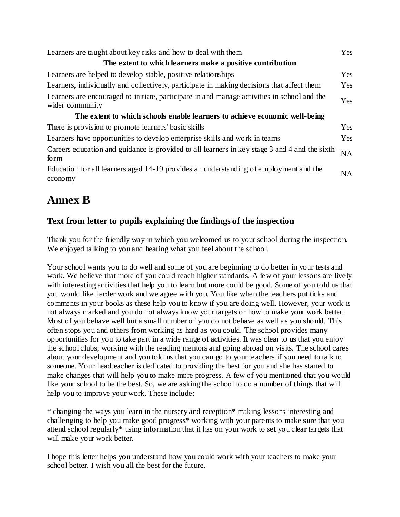| Learners are taught about key risks and how to deal with them                                                  |           |
|----------------------------------------------------------------------------------------------------------------|-----------|
| The extent to which learners make a positive contribution                                                      |           |
| Learners are helped to develop stable, positive relationships                                                  | Yes       |
| Learners, individually and collectively, participate in making decisions that affect them                      | Yes       |
| Learners are encouraged to initiate, participate in and manage activities in school and the<br>wider community |           |
| The extent to which schools enable learners to achieve economic well-being                                     |           |
| There is provision to promote learners' basic skills                                                           | Yes       |
| Learners have opportunities to develop enterprise skills and work in teams                                     | Yes       |
| Careers education and guidance is provided to all learners in key stage 3 and 4 and the sixth<br>form          | <b>NA</b> |
| Education for all learners aged 14-19 provides an understanding of employment and the<br>economy               | NA.       |

# **Annex B**

#### **Text from letter to pupils explaining the findings of the inspection**

Thank you for the friendly way in which you welcomed us to your school during the inspection. We enjoyed talking to you and hearing what you feel about the school.

Your school wants you to do well and some of you are beginning to do better in your tests and work. We believe that more of you could reach higher standards. A few of your lessons are lively with interesting activities that help you to learn but more could be good. Some of you told us that you would like harder work and we agree with you. You like when the teachers put ticks and comments in your books as these help you to know if you are doing well. However, your work is not always marked and you do not always know your targets or how to make your work better. Most of you behave well but a small number of you do not behave as well as you should. This often stops you and others from working as hard as you could. The school provides many opportunities for you to take part in a wide range of activities. It was clear to us that you enjoy the school clubs, working with the reading mentors and going abroad on visits. The school cares about your development and you told us that you can go to your teachers if you need to talk to someone. Your headteacher is dedicated to providing the best for you and she has started to make changes that will help you to make more progress. A few of you mentioned that you would like your school to be the best. So, we are asking the school to do a number of things that will help you to improve your work. These include:

\* changing the ways you learn in the nursery and reception\* making lessons interesting and challenging to help you make good progress\* working with your parents to make sure that you attend school regularly\* using information that it has on your work to set you clear targets that will make your work better.

I hope this letter helps you understand how you could work with your teachers to make your school better. I wish you all the best for the future.